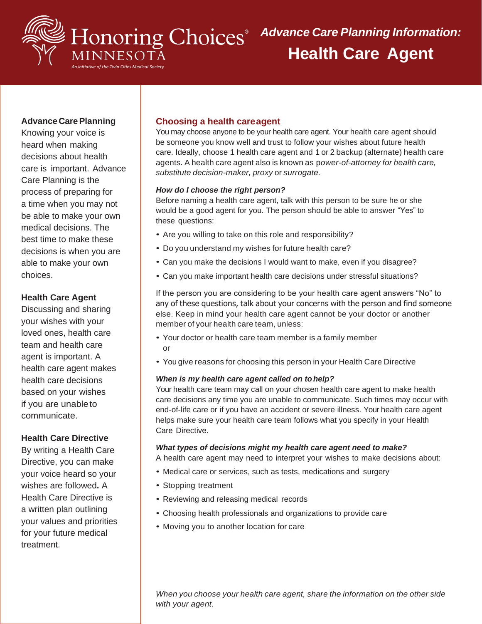

## **Advance Care Planning**

Knowing your voice is heard when making decisions about health care is important. Advance Care Planning is the process of preparing for a time when you may not be able to make your own medical decisions. The best time to make these decisions is when you are able to make your own choices.

## **Health Care Agent**

Discussing and sharing your wishes with your loved ones, health care team and health care agent is important. A health care agent makes health care decisions based on your wishes if you are unableto communicate.

### **Health Care Directive**

By writing a Health Care Directive, you can make your voice heard so your wishes are followed**.** A Health Care Directive is a written plan outlining your values and priorities for your future medical treatment.

## **Choosing a health careagent**

You may choose anyone to be your health care agent. Your health care agent should be someone you know well and trust to follow your wishes about future health care. Ideally, choose 1 health care agent and 1 or 2 backup (alternate) health care agents. A health care agent also is known as p*ower-of-attorney for health care, substitute decision-maker, proxy* or *surrogate.*

#### *How do I choose the right person?*

Before naming a health care agent, talk with this person to be sure he or she would be a good agent for you. The person should be able to answer "Yes" to these questions:

- Are you willing to take on this role and responsibility?
- Do you understand my wishes for future health care?
- Can you make the decisions I would want to make, even if you disagree?
- Can you make important health care decisions under stressful situations?

If the person you are considering to be your health care agent answers "No" to any of these questions, talk about your concerns with the person and find someone else. Keep in mind your health care agent cannot be your doctor or another member of your health care team, unless:

- Your doctor or health care team member is a family member or
- You give reasons for choosing this person in your Health Care Directive

#### *When is my health care agent called on tohelp?*

Your health care team may call on your chosen health care agent to make health care decisions any time you are unable to communicate. Such times may occur with end-of-life care or if you have an accident or severe illness. Your health care agent helps make sure your health care team follows what you specify in your Health Care Directive.

#### *What types of decisions might my health care agent need to make?*

A health care agent may need to interpret your wishes to make decisions about:

- Medical care or services, such as tests, medications and surgery
- Stopping treatment
- Reviewing and releasing medical records
- Choosing health professionals and organizations to provide care
- Moving you to another location for care

*When you choose your health care agent, share the information on the other side with your agent.*